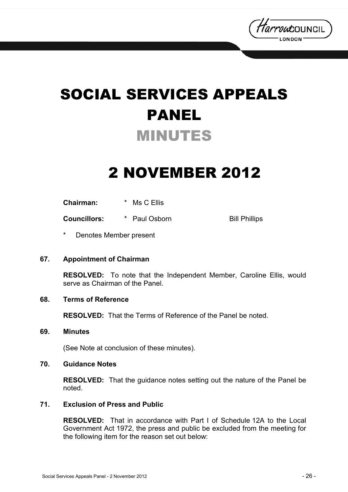

# SOCIAL SERVICES APPEALS PANEL MINUTES

## 2 NOVEMBER 2012

**Chairman:** \* Ms C Ellis

**Councillors:**  $*$  Paul Osborn Bill Phillips

Denotes Member present

#### **67. Appointment of Chairman**

**RESOLVED:** To note that the Independent Member, Caroline Ellis, would serve as Chairman of the Panel.

### **68. Terms of Reference**

**RESOLVED:** That the Terms of Reference of the Panel be noted.

#### **69. Minutes**

(See Note at conclusion of these minutes).

#### **70. Guidance Notes**

**RESOLVED:** That the guidance notes setting out the nature of the Panel be noted.

#### **71. Exclusion of Press and Public**

**RESOLVED:** That in accordance with Part I of Schedule 12A to the Local Government Act 1972, the press and public be excluded from the meeting for the following item for the reason set out below: